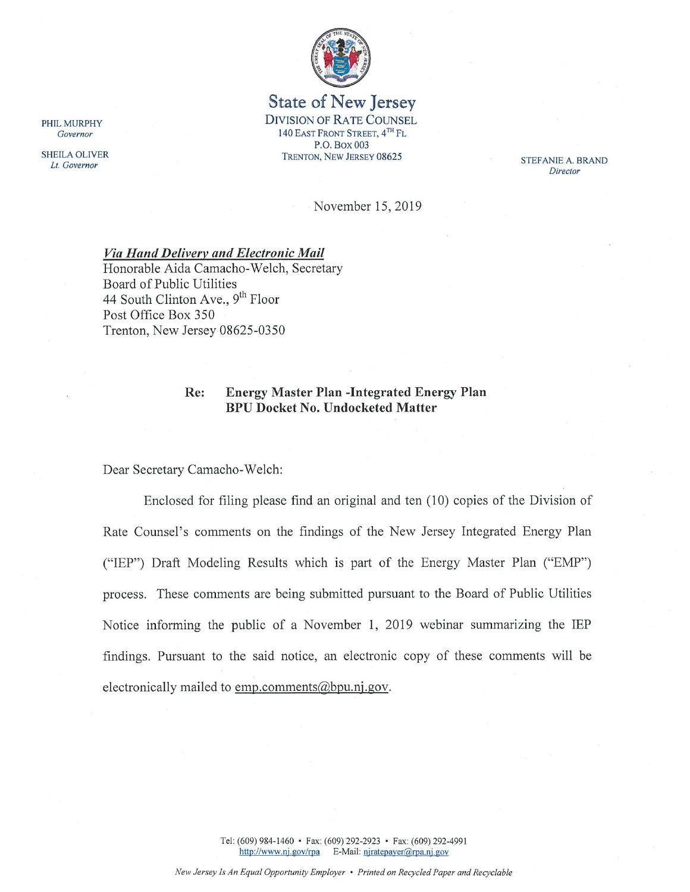

## **State of New Jersey DIVISION OF RATE COUNSEL** 140 EAST FRONT STREET, 4TH FL P.O. Box 003 TRENTON, NEW JERSEY 08625

STEFANIE A. BRAND Director

November 15, 2019

#### **Via Hand Delivery and Electronic Mail**

Honorable Aida Camacho-Welch, Secretary Board of Public Utilities 44 South Clinton Ave., 9<sup>th</sup> Floor Post Office Box 350 Trenton, New Jersey 08625-0350

#### **Energy Master Plan -Integrated Energy Plan** Re: **BPU Docket No. Undocketed Matter**

Dear Secretary Camacho-Welch:

Enclosed for filing please find an original and ten (10) copies of the Division of Rate Counsel's comments on the findings of the New Jersey Integrated Energy Plan ("IEP") Draft Modeling Results which is part of the Energy Master Plan ("EMP") process. These comments are being submitted pursuant to the Board of Public Utilities Notice informing the public of a November 1, 2019 webinar summarizing the IEP findings. Pursuant to the said notice, an electronic copy of these comments will be electronically mailed to emp.comments@bpu.nj.gov.

PHIL MURPHY Governor

**SHEILA OLIVER** Lt. Governor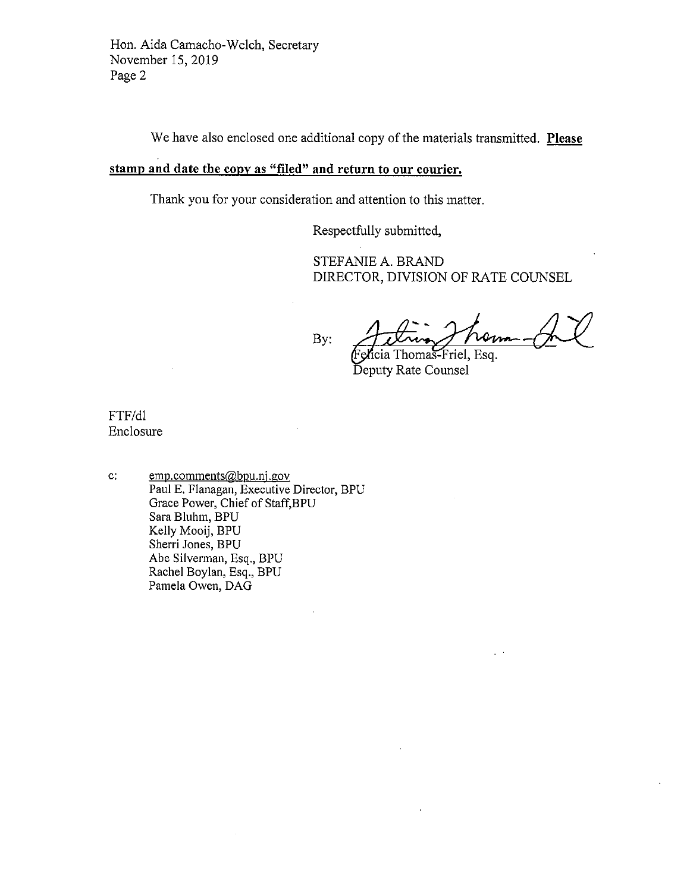Hon. Aida Camacho-Welch, Secretary November 15, 2019 Page 2

We have also enclosed one additional copy of the materials transmitted. Please

# stamp and date the copy as "filed" and return to our courier.

Thank you for your consideration and attention to this matter.

Respectfully submitted,

STEFANIE A. BRAND DIRECTOR, DIVISION OF RATE COUNSEL

By:

Friel, Esg. icia Thomas

Deputy Rate Counsel

FTF/dl Enclosure

emp.comments@bpu.nj.gov  $\mathbf{c}$ . Paul E. Flanagan, Executive Director, BPU Grace Power, Chief of Staff, BPU Sara Bluhm, BPU Kelly Mooij, BPU Sherri Jones, BPU Abe Silverman, Esq., BPU Rachel Boylan, Esq., BPU Pamela Owen, DAG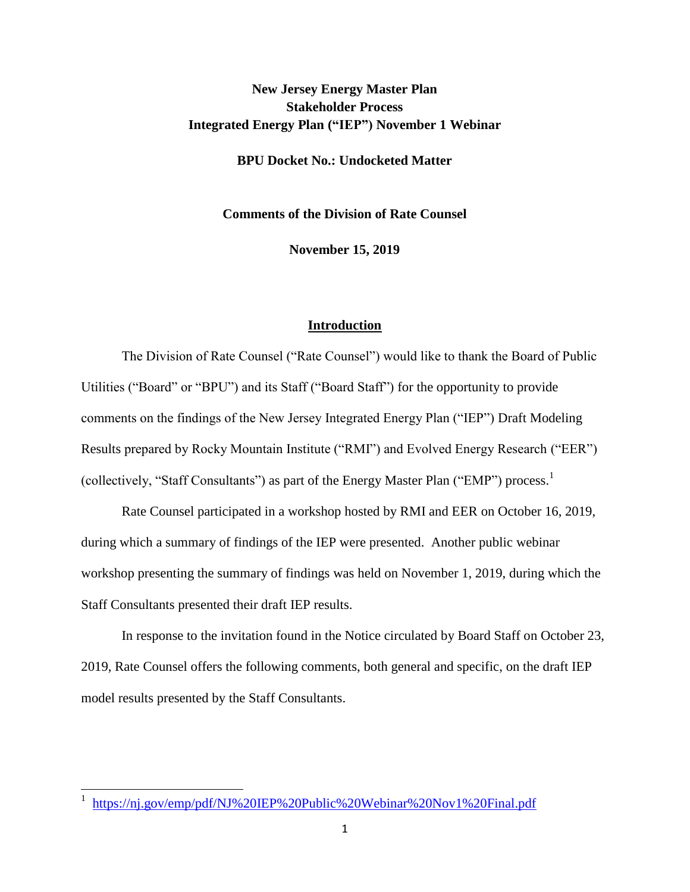# **New Jersey Energy Master Plan Stakeholder Process Integrated Energy Plan ("IEP") November 1 Webinar**

**BPU Docket No.: Undocketed Matter**

**Comments of the Division of Rate Counsel**

**November 15, 2019**

#### **Introduction**

The Division of Rate Counsel ("Rate Counsel") would like to thank the Board of Public Utilities ("Board" or "BPU") and its Staff ("Board Staff") for the opportunity to provide comments on the findings of the New Jersey Integrated Energy Plan ("IEP") Draft Modeling Results prepared by Rocky Mountain Institute ("RMI") and Evolved Energy Research ("EER") (collectively, "Staff Consultants") as part of the Energy Master Plan ("EMP") process.<sup>1</sup>

Rate Counsel participated in a workshop hosted by RMI and EER on October 16, 2019, during which a summary of findings of the IEP were presented. Another public webinar workshop presenting the summary of findings was held on November 1, 2019, during which the Staff Consultants presented their draft IEP results.

In response to the invitation found in the Notice circulated by Board Staff on October 23, 2019, Rate Counsel offers the following comments, both general and specific, on the draft IEP model results presented by the Staff Consultants.

<sup>&</sup>lt;sup>1</sup> https://nj.gov/emp/pdf/NJ%20IEP%20Public%20Webinar%20Nov1%20Final.pdf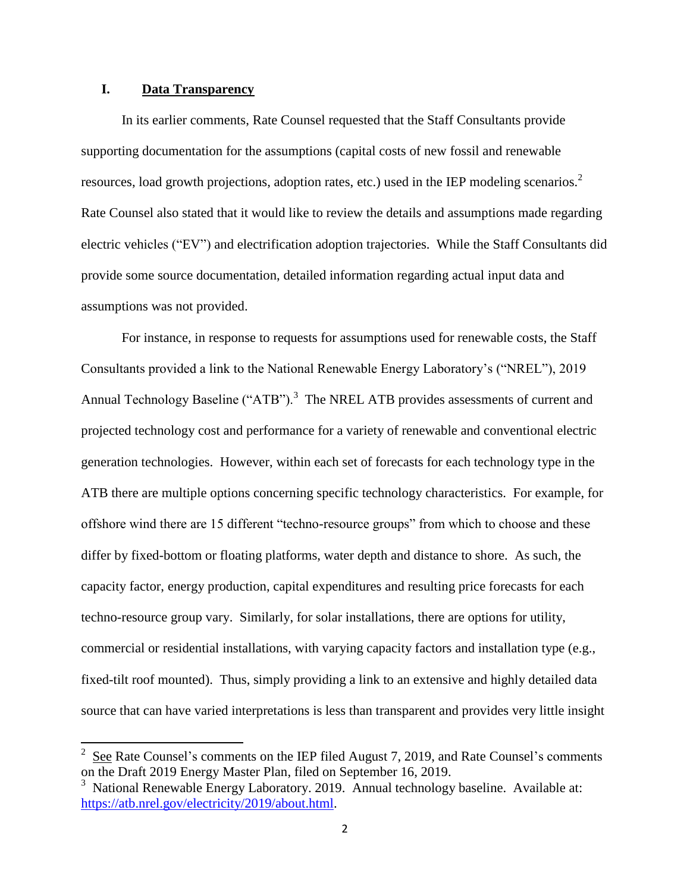## **I. Data Transparency**

 $\overline{a}$ 

In its earlier comments, Rate Counsel requested that the Staff Consultants provide supporting documentation for the assumptions (capital costs of new fossil and renewable resources, load growth projections, adoption rates, etc.) used in the IEP modeling scenarios.<sup>2</sup> Rate Counsel also stated that it would like to review the details and assumptions made regarding electric vehicles ("EV") and electrification adoption trajectories. While the Staff Consultants did provide some source documentation, detailed information regarding actual input data and assumptions was not provided.

For instance, in response to requests for assumptions used for renewable costs, the Staff Consultants provided a link to the National Renewable Energy Laboratory's ("NREL"), 2019 Annual Technology Baseline ("ATB").<sup>3</sup> The NREL ATB provides assessments of current and projected technology cost and performance for a variety of renewable and conventional electric generation technologies. However, within each set of forecasts for each technology type in the ATB there are multiple options concerning specific technology characteristics. For example, for offshore wind there are 15 different "techno-resource groups" from which to choose and these differ by fixed-bottom or floating platforms, water depth and distance to shore. As such, the capacity factor, energy production, capital expenditures and resulting price forecasts for each techno-resource group vary. Similarly, for solar installations, there are options for utility, commercial or residential installations, with varying capacity factors and installation type (e.g., fixed-tilt roof mounted). Thus, simply providing a link to an extensive and highly detailed data source that can have varied interpretations is less than transparent and provides very little insight

<sup>2</sup> See Rate Counsel's comments on the IEP filed August 7, 2019, and Rate Counsel's comments on the Draft 2019 Energy Master Plan, filed on September 16, 2019.

<sup>&</sup>lt;sup>3</sup> National Renewable Energy Laboratory. 2019. Annual technology baseline. Available at: [https://atb.nrel.gov/electricity/2019/about.html.](https://atb.nrel.gov/electricity/2019/about.html)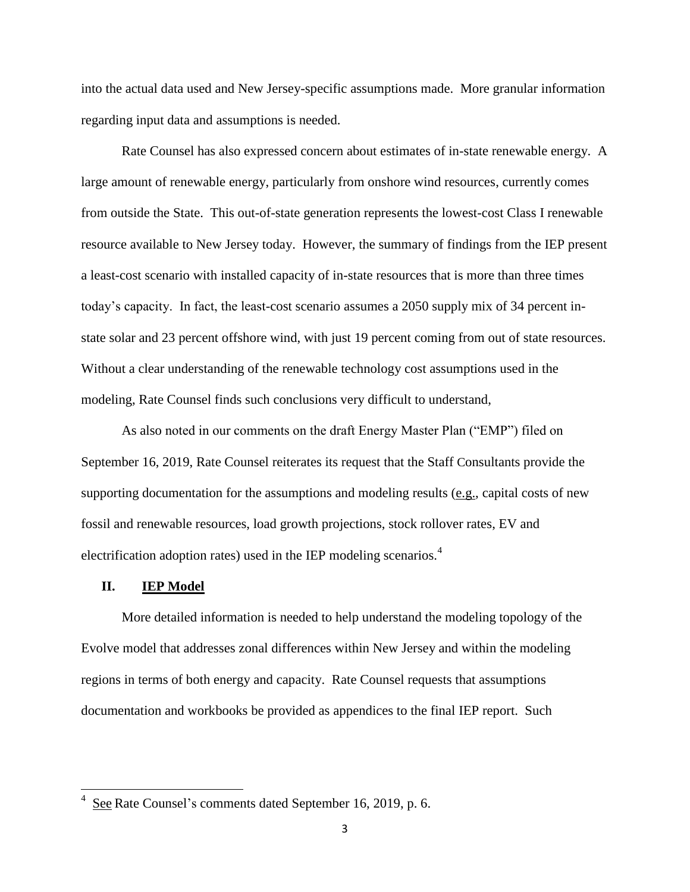into the actual data used and New Jersey-specific assumptions made. More granular information regarding input data and assumptions is needed.

Rate Counsel has also expressed concern about estimates of in-state renewable energy. A large amount of renewable energy, particularly from onshore wind resources, currently comes from outside the State. This out-of-state generation represents the lowest-cost Class I renewable resource available to New Jersey today. However, the summary of findings from the IEP present a least-cost scenario with installed capacity of in-state resources that is more than three times today's capacity. In fact, the least-cost scenario assumes a 2050 supply mix of 34 percent instate solar and 23 percent offshore wind, with just 19 percent coming from out of state resources. Without a clear understanding of the renewable technology cost assumptions used in the modeling, Rate Counsel finds such conclusions very difficult to understand,

As also noted in our comments on the draft Energy Master Plan ("EMP") filed on September 16, 2019, Rate Counsel reiterates its request that the Staff Consultants provide the supporting documentation for the assumptions and modeling results (e.g., capital costs of new fossil and renewable resources, load growth projections, stock rollover rates, EV and electrification adoption rates) used in the IEP modeling scenarios.<sup>4</sup>

#### **II. IEP Model**

 $\overline{\phantom{a}}$ 

More detailed information is needed to help understand the modeling topology of the Evolve model that addresses zonal differences within New Jersey and within the modeling regions in terms of both energy and capacity. Rate Counsel requests that assumptions documentation and workbooks be provided as appendices to the final IEP report. Such

 $4 \text{ See }$ Rate Counsel's comments dated September 16, 2019, p. 6.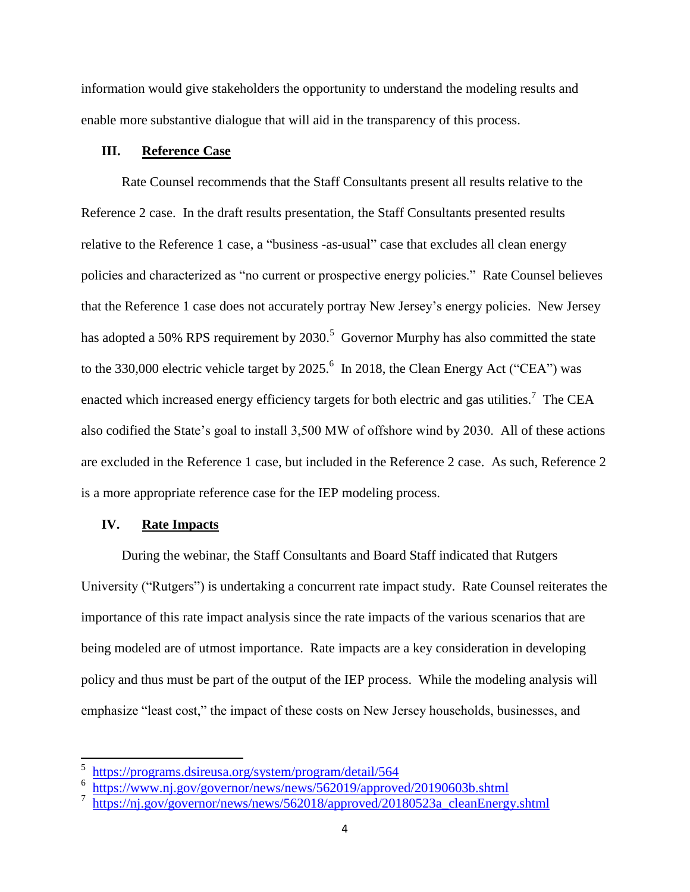information would give stakeholders the opportunity to understand the modeling results and enable more substantive dialogue that will aid in the transparency of this process.

## **III. Reference Case**

Rate Counsel recommends that the Staff Consultants present all results relative to the Reference 2 case. In the draft results presentation, the Staff Consultants presented results relative to the Reference 1 case, a "business -as-usual" case that excludes all clean energy policies and characterized as "no current or prospective energy policies." Rate Counsel believes that the Reference 1 case does not accurately portray New Jersey's energy policies. New Jersey has adopted a 50% RPS requirement by  $2030<sup>5</sup>$  Governor Murphy has also committed the state to the 330,000 electric vehicle target by 2025.<sup>6</sup> In 2018, the Clean Energy Act ("CEA") was enacted which increased energy efficiency targets for both electric and gas utilities.<sup>7</sup> The CEA also codified the State's goal to install 3,500 MW of offshore wind by 2030. All of these actions are excluded in the Reference 1 case, but included in the Reference 2 case. As such, Reference 2 is a more appropriate reference case for the IEP modeling process.

## **IV. Rate Impacts**

 $\overline{\phantom{a}}$ 

During the webinar, the Staff Consultants and Board Staff indicated that Rutgers University ("Rutgers") is undertaking a concurrent rate impact study. Rate Counsel reiterates the importance of this rate impact analysis since the rate impacts of the various scenarios that are being modeled are of utmost importance. Rate impacts are a key consideration in developing policy and thus must be part of the output of the IEP process. While the modeling analysis will emphasize "least cost," the impact of these costs on New Jersey households, businesses, and

<sup>5</sup> <https://programs.dsireusa.org/system/program/detail/564>

<sup>6</sup> <https://www.nj.gov/governor/news/news/562019/approved/20190603b.shtml>

<sup>7</sup> [https://nj.gov/governor/news/news/562018/approved/20180523a\\_cleanEnergy.shtml](https://nj.gov/governor/news/news/562018/approved/20180523a_cleanEnergy.shtml)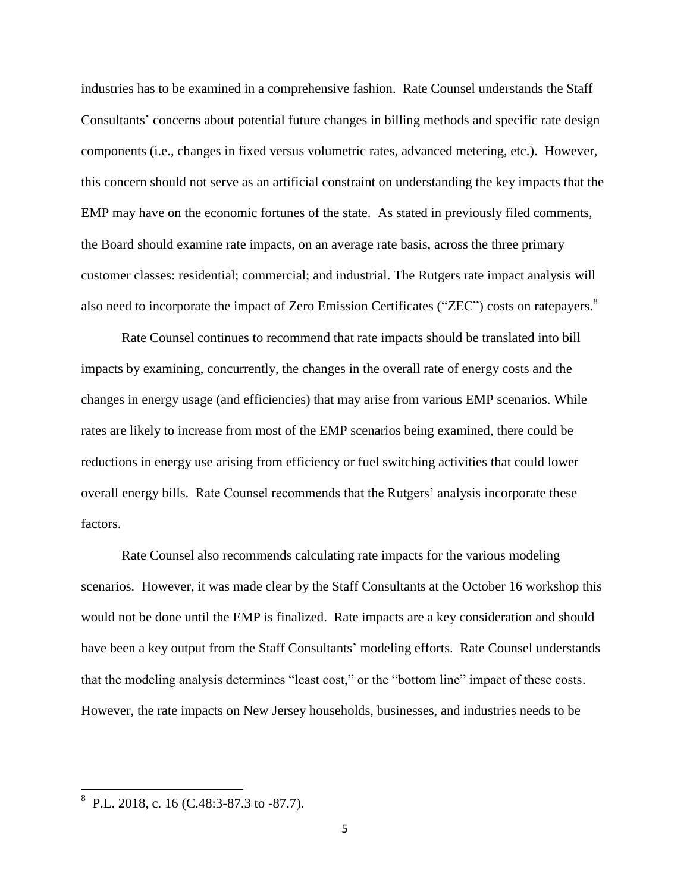industries has to be examined in a comprehensive fashion. Rate Counsel understands the Staff Consultants' concerns about potential future changes in billing methods and specific rate design components (i.e., changes in fixed versus volumetric rates, advanced metering, etc.). However, this concern should not serve as an artificial constraint on understanding the key impacts that the EMP may have on the economic fortunes of the state. As stated in previously filed comments, the Board should examine rate impacts, on an average rate basis, across the three primary customer classes: residential; commercial; and industrial. The Rutgers rate impact analysis will also need to incorporate the impact of Zero Emission Certificates ("ZEC") costs on ratepayers.<sup>8</sup>

Rate Counsel continues to recommend that rate impacts should be translated into bill impacts by examining, concurrently, the changes in the overall rate of energy costs and the changes in energy usage (and efficiencies) that may arise from various EMP scenarios. While rates are likely to increase from most of the EMP scenarios being examined, there could be reductions in energy use arising from efficiency or fuel switching activities that could lower overall energy bills. Rate Counsel recommends that the Rutgers' analysis incorporate these factors.

Rate Counsel also recommends calculating rate impacts for the various modeling scenarios. However, it was made clear by the Staff Consultants at the October 16 workshop this would not be done until the EMP is finalized. Rate impacts are a key consideration and should have been a key output from the Staff Consultants' modeling efforts. Rate Counsel understands that the modeling analysis determines "least cost," or the "bottom line" impact of these costs. However, the rate impacts on New Jersey households, businesses, and industries needs to be

 8 P.L. 2018, c. 16 (C.48:3-87.3 to -87.7).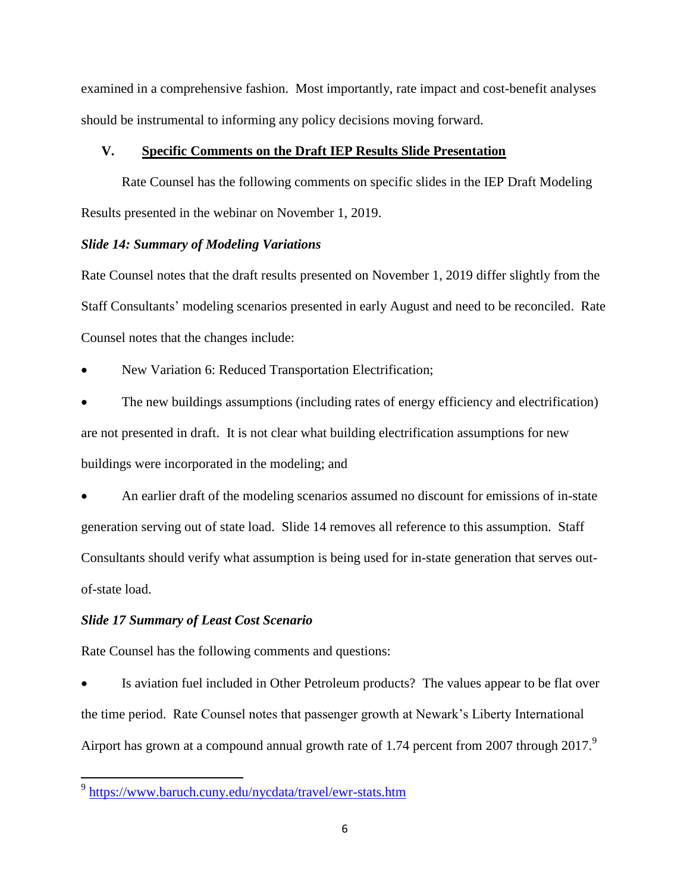examined in a comprehensive fashion. Most importantly, rate impact and cost-benefit analyses should be instrumental to informing any policy decisions moving forward.

## **V. Specific Comments on the Draft IEP Results Slide Presentation**

Rate Counsel has the following comments on specific slides in the IEP Draft Modeling Results presented in the webinar on November 1, 2019.

## *Slide 14: Summary of Modeling Variations*

Rate Counsel notes that the draft results presented on November 1, 2019 differ slightly from the Staff Consultants' modeling scenarios presented in early August and need to be reconciled. Rate Counsel notes that the changes include:

New Variation 6: Reduced Transportation Electrification;

 The new buildings assumptions (including rates of energy efficiency and electrification) are not presented in draft. It is not clear what building electrification assumptions for new buildings were incorporated in the modeling; and

 An earlier draft of the modeling scenarios assumed no discount for emissions of in-state generation serving out of state load. Slide 14 removes all reference to this assumption. Staff Consultants should verify what assumption is being used for in-state generation that serves outof-state load.

## *Slide 17 Summary of Least Cost Scenario*

Rate Counsel has the following comments and questions:

 Is aviation fuel included in Other Petroleum products? The values appear to be flat over the time period. Rate Counsel notes that passenger growth at Newark's Liberty International Airport has grown at a compound annual growth rate of 1.74 percent from 2007 through 2017.

<sup>&</sup>lt;sup>9</sup> <https://www.baruch.cuny.edu/nycdata/travel/ewr-stats.htm>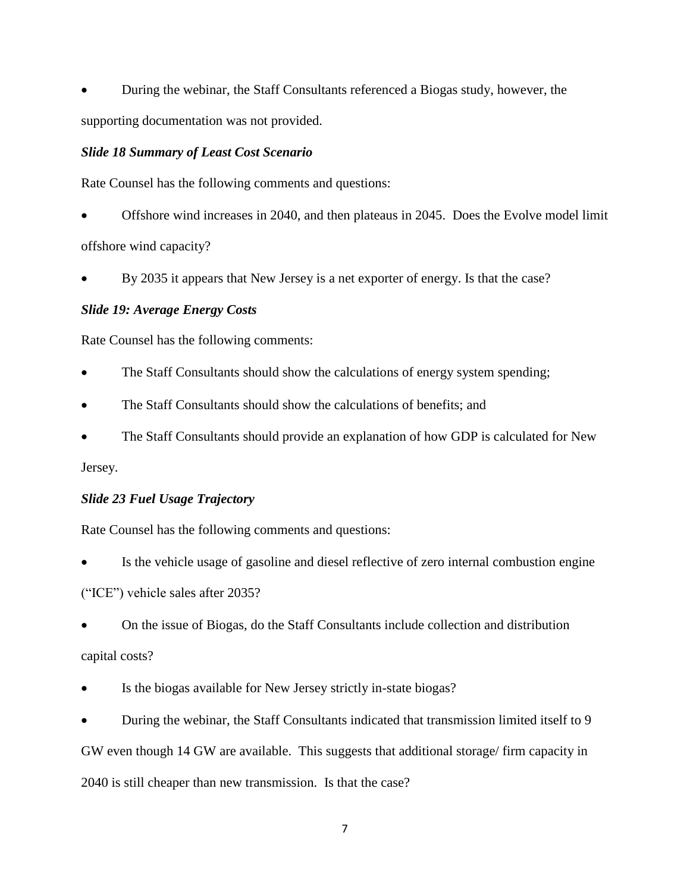During the webinar, the Staff Consultants referenced a Biogas study, however, the supporting documentation was not provided.

## *Slide 18 Summary of Least Cost Scenario*

Rate Counsel has the following comments and questions:

 Offshore wind increases in 2040, and then plateaus in 2045. Does the Evolve model limit offshore wind capacity?

By 2035 it appears that New Jersey is a net exporter of energy. Is that the case?

# *Slide 19: Average Energy Costs*

Rate Counsel has the following comments:

- The Staff Consultants should show the calculations of energy system spending;
- The Staff Consultants should show the calculations of benefits; and
- The Staff Consultants should provide an explanation of how GDP is calculated for New

Jersey.

## *Slide 23 Fuel Usage Trajectory*

Rate Counsel has the following comments and questions:

 Is the vehicle usage of gasoline and diesel reflective of zero internal combustion engine ("ICE") vehicle sales after 2035?

 On the issue of Biogas, do the Staff Consultants include collection and distribution capital costs?

Is the biogas available for New Jersey strictly in-state biogas?

 During the webinar, the Staff Consultants indicated that transmission limited itself to 9 GW even though 14 GW are available. This suggests that additional storage/ firm capacity in 2040 is still cheaper than new transmission. Is that the case?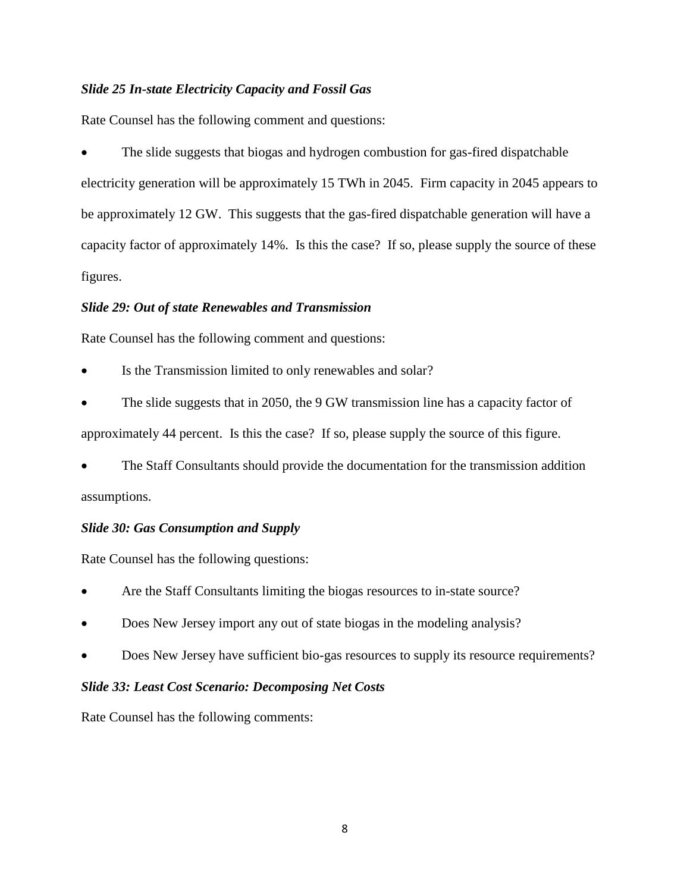## *Slide 25 In-state Electricity Capacity and Fossil Gas*

Rate Counsel has the following comment and questions:

 The slide suggests that biogas and hydrogen combustion for gas-fired dispatchable electricity generation will be approximately 15 TWh in 2045. Firm capacity in 2045 appears to be approximately 12 GW. This suggests that the gas-fired dispatchable generation will have a capacity factor of approximately 14%. Is this the case? If so, please supply the source of these figures.

## *Slide 29: Out of state Renewables and Transmission*

Rate Counsel has the following comment and questions:

Is the Transmission limited to only renewables and solar?

 The slide suggests that in 2050, the 9 GW transmission line has a capacity factor of approximately 44 percent. Is this the case? If so, please supply the source of this figure.

 The Staff Consultants should provide the documentation for the transmission addition assumptions.

## *Slide 30: Gas Consumption and Supply*

Rate Counsel has the following questions:

- Are the Staff Consultants limiting the biogas resources to in-state source?
- Does New Jersey import any out of state biogas in the modeling analysis?
- Does New Jersey have sufficient bio-gas resources to supply its resource requirements?

## *Slide 33: Least Cost Scenario: Decomposing Net Costs*

Rate Counsel has the following comments: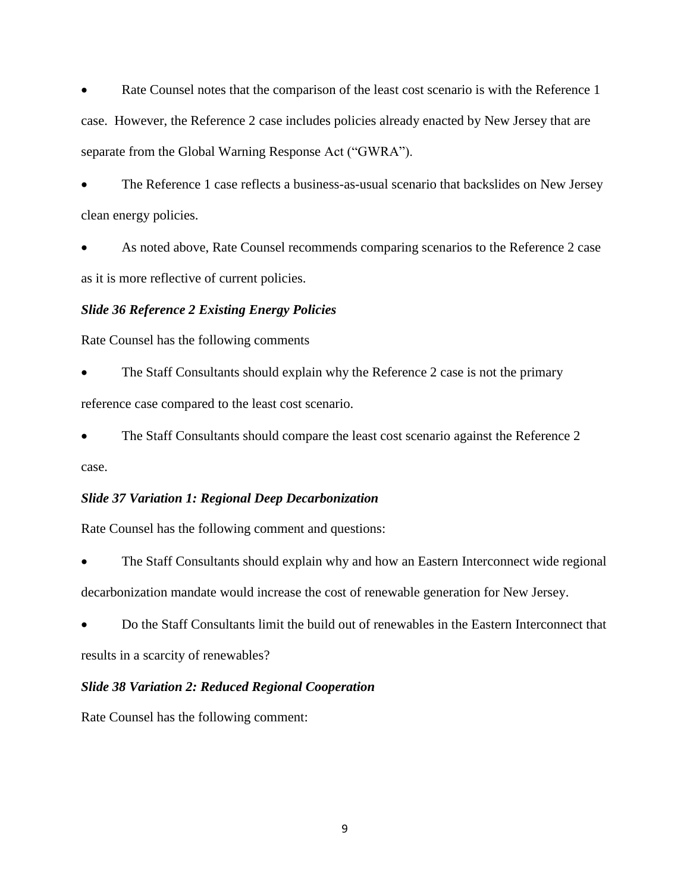Rate Counsel notes that the comparison of the least cost scenario is with the Reference 1 case. However, the Reference 2 case includes policies already enacted by New Jersey that are separate from the Global Warning Response Act ("GWRA").

 The Reference 1 case reflects a business-as-usual scenario that backslides on New Jersey clean energy policies.

 As noted above, Rate Counsel recommends comparing scenarios to the Reference 2 case as it is more reflective of current policies.

## *Slide 36 Reference 2 Existing Energy Policies*

Rate Counsel has the following comments

 The Staff Consultants should explain why the Reference 2 case is not the primary reference case compared to the least cost scenario.

 The Staff Consultants should compare the least cost scenario against the Reference 2 case.

## *Slide 37 Variation 1: Regional Deep Decarbonization*

Rate Counsel has the following comment and questions:

 The Staff Consultants should explain why and how an Eastern Interconnect wide regional decarbonization mandate would increase the cost of renewable generation for New Jersey.

 Do the Staff Consultants limit the build out of renewables in the Eastern Interconnect that results in a scarcity of renewables?

## *Slide 38 Variation 2: Reduced Regional Cooperation*

Rate Counsel has the following comment: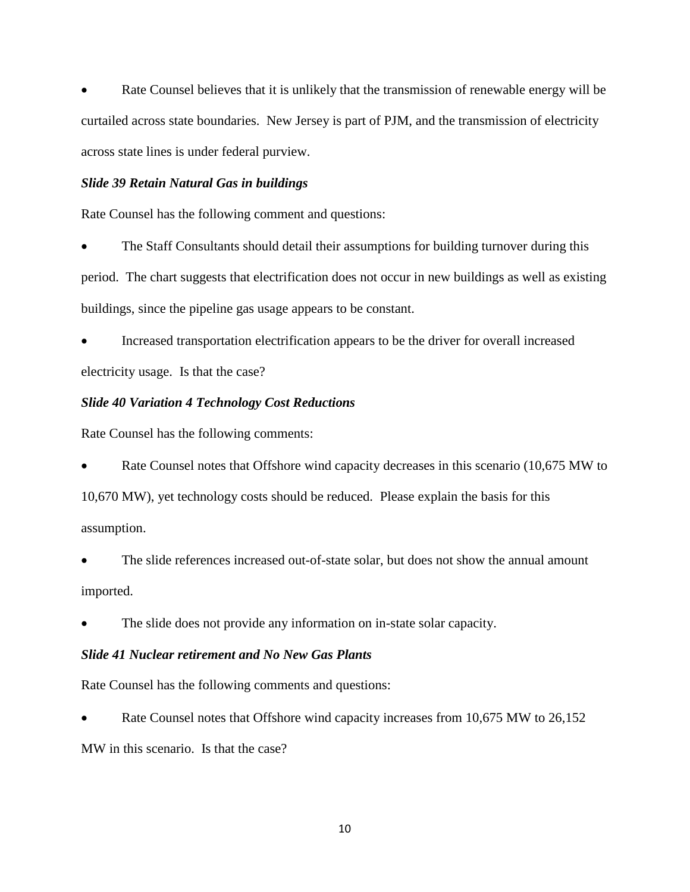Rate Counsel believes that it is unlikely that the transmission of renewable energy will be curtailed across state boundaries. New Jersey is part of PJM, and the transmission of electricity across state lines is under federal purview.

# *Slide 39 Retain Natural Gas in buildings*

Rate Counsel has the following comment and questions:

 The Staff Consultants should detail their assumptions for building turnover during this period. The chart suggests that electrification does not occur in new buildings as well as existing buildings, since the pipeline gas usage appears to be constant.

 Increased transportation electrification appears to be the driver for overall increased electricity usage. Is that the case?

# *Slide 40 Variation 4 Technology Cost Reductions*

Rate Counsel has the following comments:

 Rate Counsel notes that Offshore wind capacity decreases in this scenario (10,675 MW to 10,670 MW), yet technology costs should be reduced. Please explain the basis for this assumption.

 The slide references increased out-of-state solar, but does not show the annual amount imported.

The slide does not provide any information on in-state solar capacity.

## *Slide 41 Nuclear retirement and No New Gas Plants*

Rate Counsel has the following comments and questions:

 Rate Counsel notes that Offshore wind capacity increases from 10,675 MW to 26,152 MW in this scenario. Is that the case?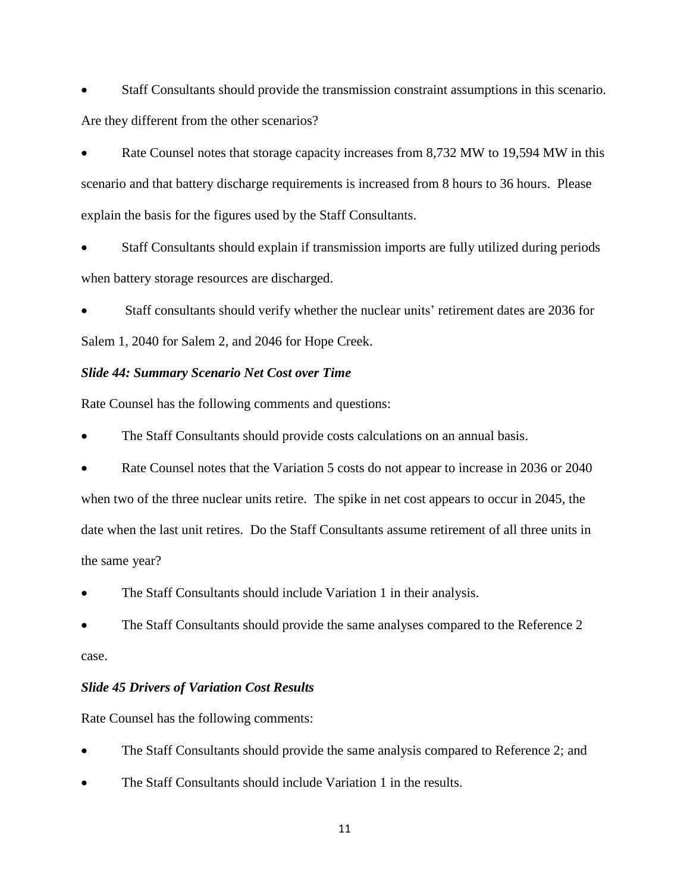Staff Consultants should provide the transmission constraint assumptions in this scenario. Are they different from the other scenarios?

 Rate Counsel notes that storage capacity increases from 8,732 MW to 19,594 MW in this scenario and that battery discharge requirements is increased from 8 hours to 36 hours. Please explain the basis for the figures used by the Staff Consultants.

 Staff Consultants should explain if transmission imports are fully utilized during periods when battery storage resources are discharged.

 Staff consultants should verify whether the nuclear units' retirement dates are 2036 for Salem 1, 2040 for Salem 2, and 2046 for Hope Creek.

## *Slide 44: Summary Scenario Net Cost over Time*

Rate Counsel has the following comments and questions:

The Staff Consultants should provide costs calculations on an annual basis.

 Rate Counsel notes that the Variation 5 costs do not appear to increase in 2036 or 2040 when two of the three nuclear units retire. The spike in net cost appears to occur in 2045, the date when the last unit retires. Do the Staff Consultants assume retirement of all three units in the same year?

The Staff Consultants should include Variation 1 in their analysis.

 The Staff Consultants should provide the same analyses compared to the Reference 2 case.

#### *Slide 45 Drivers of Variation Cost Results*

Rate Counsel has the following comments:

- The Staff Consultants should provide the same analysis compared to Reference 2; and
- The Staff Consultants should include Variation 1 in the results.

11